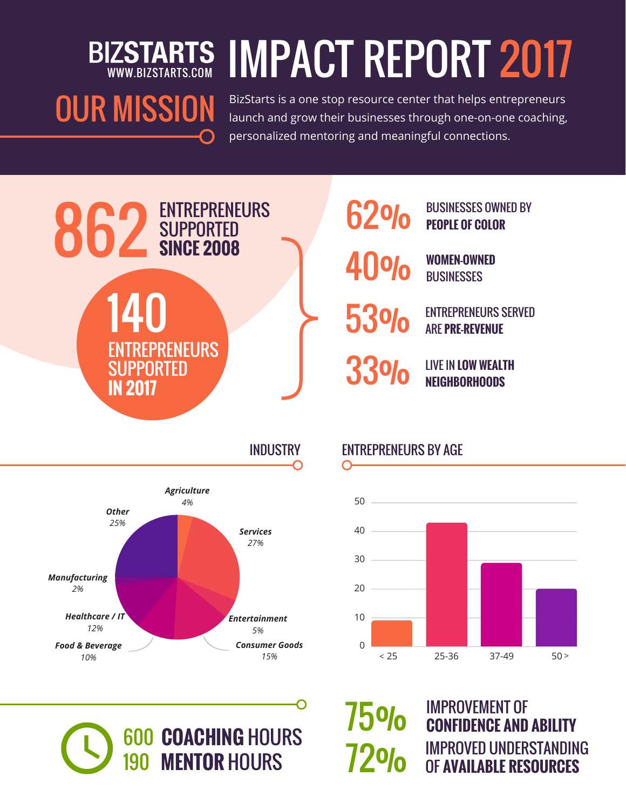# **IZSTARTS IMPACT REPORT 2017**

## OUR MISSION

BizStarts is a one stop resource center that helps entrepreneurs launch and grow their businesses through one-on-one coaching, personalized mentoring and meaningful connections.







## 600 **COACHING** HOURS 190 **MENTOR** HOURS

INDUSTRY ENTREPRENEURS BY AGE

O

75%

72%



IMPROVEMENT OF **CONFIDENCE AND ABILITY** IMPROVED UNDERSTANDING OF **AVAILABLE RESOURCES**